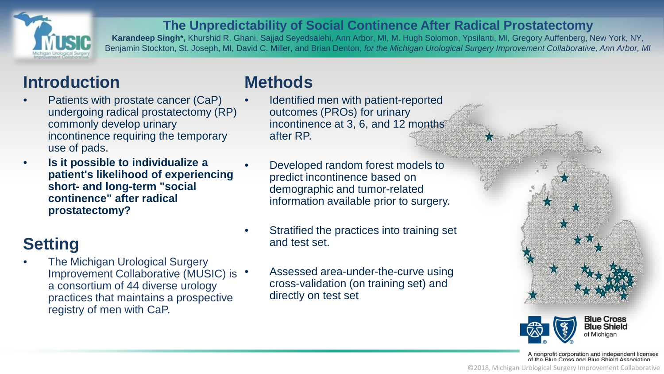

#### **The Unpredictability of Social Continence After Radical Prostatectomy**

**Karandeep Singh\*,** Khurshid R. Ghani, Sajjad Seyedsalehi, Ann Arbor, MI, M. Hugh Solomon, Ypsilanti, MI, Gregory Auffenberg, New York, NY, Benjamin Stockton, St. Joseph, MI, David C. Miller, and Brian Denton, *for the Michigan Urological Surgery Improvement Collaborative, Ann Arbor, MI*

# **Introduction**

- Patients with prostate cancer (CaP) undergoing radical prostatectomy (RP) commonly develop urinary incontinence requiring the temporary use of pads.
- **Is it possible to individualize a patient's likelihood of experiencing short- and long-term "social continence" after radical prostatectomy?**

## **Setting**

**The Michigan Urological Surgery** Improvement Collaborative (MUSIC) is • a consortium of 44 diverse urology practices that maintains a prospective registry of men with CaP.

## **Methods**

- Identified men with patient-reported outcomes (PROs) for urinary incontinence at 3, 6, and 12 months after RP.
- Developed random forest models to predict incontinence based on demographic and tumor-related information available prior to surgery.
- Stratified the practices into training set and test set.
	- Assessed area-under-the-curve using cross-validation (on training set) and directly on test set





A nonprofit corporation and independent licensee<br>of the Blue Cross and Blue Shield Association